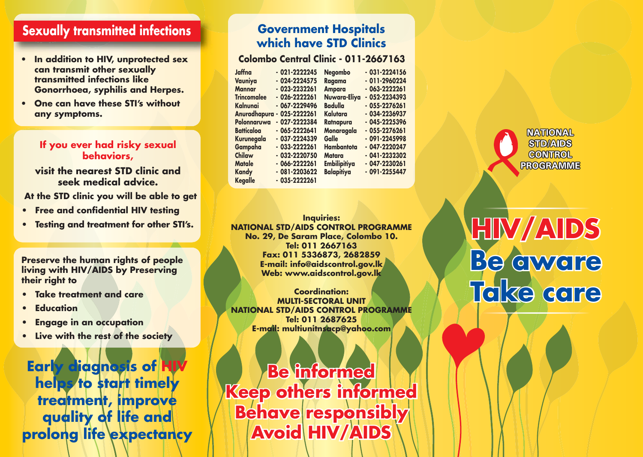### **Sexually transmitted infections**

- **can transmit other sexually transmitted infections like Gonorrhoea, syphilis and Herpes.**
- **One can have these STI's without any symptoms.**

#### **If you ever had risky sexual behaviors,**

**visit the nearest STD clinic and seek medical advice.**

 **At the STD clinic you will be able to get**

- **Free and confidential HIV testing**
- **Testing and treatment for other STI's.**

**Preserve the human rights of people living with HIV/AIDS by Preserving their right to**

- **Take treatment and care**
- **Education**
- **Engage in an occupation**
- **Live with the rest of the society**

**Early diagnosis of HIV helps to start timely treatment, improve quality of life and prolong life expectancy**

### **Government Hospitals which have STD Clinics**

• In addition to HIV, unprotected sex **Colombo Central Clinic - 011-2667163** 

| Jaffna             | $-021 - 2222245$ | <b>Negombo</b>      | $-031 - 2224156$ |
|--------------------|------------------|---------------------|------------------|
| Vauniya            | $-024 - 2224575$ | Ragama              | $-011 - 2960224$ |
| <b>Mannar</b>      | $-023 - 2232261$ | <b>Ampara</b>       | $-063 - 2222261$ |
| <b>Trincomalee</b> | $-026 - 2222261$ | Nuwara-Eliya        | $-052 - 2234393$ |
| Kalnunai           | $-067 - 2229496$ | <b>Badulla</b>      | $-055 - 2276261$ |
| Anuradhapura -     | 025-2222261      | Kalutara            | $-034 - 2236937$ |
| Polonnaruwa        | $-027 - 2222384$ | Ratnapura           | $-045 - 2225396$ |
| <b>Batticaloa</b>  | $-065 - 2222641$ | Monaragala          | $-055 - 2276261$ |
| Kurunegala         | $-037 - 2224339$ | Galle               | $-091 - 2245998$ |
| Gampaha            | $-033-2222261$   | Hambantota          | $-047 - 2220247$ |
| Chilaw             | $-032 - 2220750$ | <b>Matara</b>       | $-041 - 2232302$ |
| <b>Matale</b>      | $-066 - 2222261$ | <b>Embilipitiya</b> | $-047 - 2230261$ |
| <b>Kandy</b>       | $-081 - 2203622$ | <b>Balapitiya</b>   | $-091 - 2255447$ |
| <b>Kegalle</b>     | $-035 - 2222261$ |                     |                  |
|                    |                  |                     |                  |

**Inquiries: NATIONAL STD/AIDS CONTROL PROGRAMME No. 29, De Saram Place, Colombo 10. Tel: 011 2667163 Fax: 011 5336873, 2682859 E-mail: info@aidscontrol.gov.lk Web: www.aidscontrol.gov.lk**

**Coordination:MULTI-SECTORAL UNITNATIONAL STD/AIDS CONTROL PROGRAMME Tel: 011 2687625E-mail: multiunitnsacp@yahoo.com**

**Be informed Keep others informed Behave responsibly Avoid HIV/AIDS**

**NATIONAL STID/AIDS CONTROL PROGRAMME** 

# $\text{HIN}/\text{AIBS}$ **Be aware aware Take care Take care**